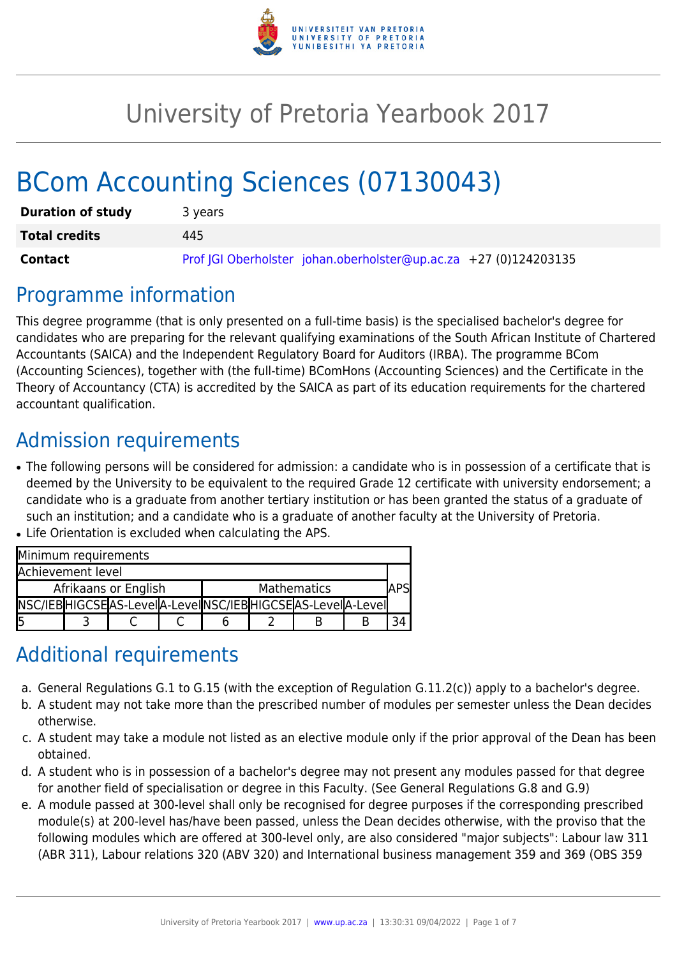

# University of Pretoria Yearbook 2017

# BCom Accounting Sciences (07130043)

| <b>Duration of study</b> | 3 years                                                          |  |  |  |  |  |
|--------------------------|------------------------------------------------------------------|--|--|--|--|--|
| <b>Total credits</b>     | 445                                                              |  |  |  |  |  |
| <b>Contact</b>           | Prof JGI Oberholster johan.oberholster@up.ac.za +27 (0)124203135 |  |  |  |  |  |

### Programme information

This degree programme (that is only presented on a full-time basis) is the specialised bachelor's degree for candidates who are preparing for the relevant qualifying examinations of the South African Institute of Chartered Accountants (SAICA) and the Independent Regulatory Board for Auditors (IRBA). The programme BCom (Accounting Sciences), together with (the full-time) BComHons (Accounting Sciences) and the Certificate in the Theory of Accountancy (CTA) is accredited by the SAICA as part of its education requirements for the chartered accountant qualification.

# Admission requirements

- The following persons will be considered for admission: a candidate who is in possession of a certificate that is deemed by the University to be equivalent to the required Grade 12 certificate with university endorsement; a candidate who is a graduate from another tertiary institution or has been granted the status of a graduate of such an institution; and a candidate who is a graduate of another faculty at the University of Pretoria.
- Life Orientation is excluded when calculating the APS.

| Minimum requirements |  |                                                                |  |             |  |  |  |  |  |
|----------------------|--|----------------------------------------------------------------|--|-------------|--|--|--|--|--|
| Achievement level    |  |                                                                |  |             |  |  |  |  |  |
| Afrikaans or English |  |                                                                |  | Mathematics |  |  |  |  |  |
|                      |  | NSC/IEB HIGCSE AS-Leve  A-Leve  NSC/IEB HIGCSE AS-Leve  A-Leve |  |             |  |  |  |  |  |
| l5                   |  |                                                                |  |             |  |  |  |  |  |

## Additional requirements

- a. General Regulations G.1 to G.15 (with the exception of Regulation G.11.2(c)) apply to a bachelor's degree.
- b. A student may not take more than the prescribed number of modules per semester unless the Dean decides otherwise.
- c. A student may take a module not listed as an elective module only if the prior approval of the Dean has been obtained.
- d. A student who is in possession of a bachelor's degree may not present any modules passed for that degree for another field of specialisation or degree in this Faculty. (See General Regulations G.8 and G.9)
- e. A module passed at 300-level shall only be recognised for degree purposes if the corresponding prescribed module(s) at 200-level has/have been passed, unless the Dean decides otherwise, with the proviso that the following modules which are offered at 300-level only, are also considered "major subjects": Labour law 311 (ABR 311), Labour relations 320 (ABV 320) and International business management 359 and 369 (OBS 359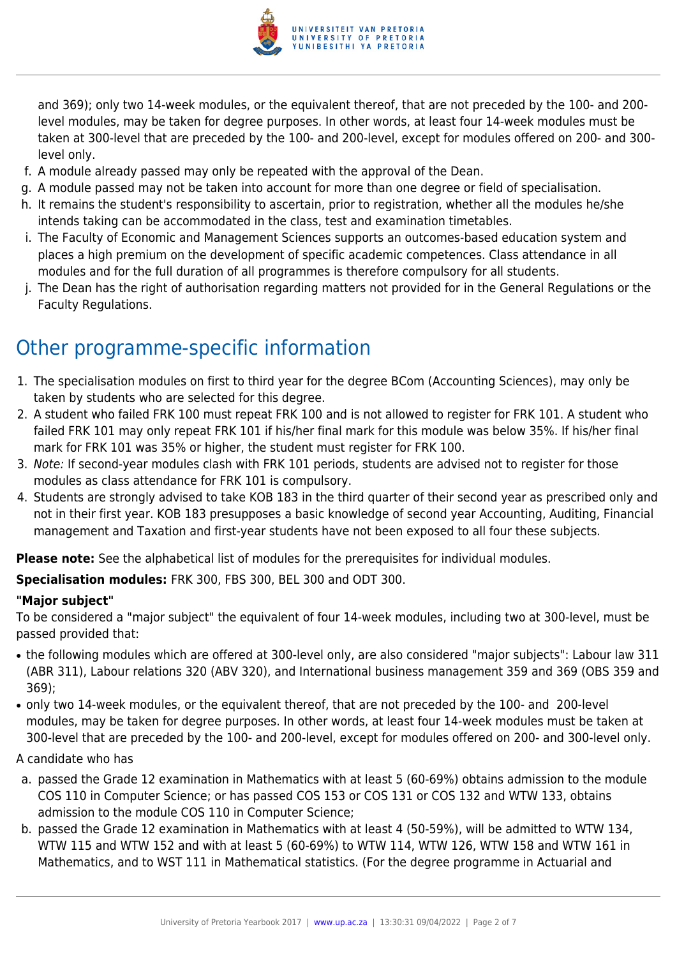

and 369); only two 14-week modules, or the equivalent thereof, that are not preceded by the 100- and 200 level modules, may be taken for degree purposes. In other words, at least four 14-week modules must be taken at 300-level that are preceded by the 100- and 200-level, except for modules offered on 200- and 300 level only.

- f. A module already passed may only be repeated with the approval of the Dean.
- g. A module passed may not be taken into account for more than one degree or field of specialisation.
- h. It remains the student's responsibility to ascertain, prior to registration, whether all the modules he/she intends taking can be accommodated in the class, test and examination timetables.
- i. The Faculty of Economic and Management Sciences supports an outcomes-based education system and places a high premium on the development of specific academic competences. Class attendance in all modules and for the full duration of all programmes is therefore compulsory for all students.
- j. The Dean has the right of authorisation regarding matters not provided for in the General Regulations or the Faculty Regulations.

## Other programme-specific information

- 1. The specialisation modules on first to third year for the degree BCom (Accounting Sciences), may only be taken by students who are selected for this degree.
- 2. A student who failed FRK 100 must repeat FRK 100 and is not allowed to register for FRK 101. A student who failed FRK 101 may only repeat FRK 101 if his/her final mark for this module was below 35%. If his/her final mark for FRK 101 was 35% or higher, the student must register for FRK 100.
- 3. Note: If second-year modules clash with FRK 101 periods, students are advised not to register for those modules as class attendance for FRK 101 is compulsory.
- 4. Students are strongly advised to take KOB 183 in the third quarter of their second year as prescribed only and not in their first year. KOB 183 presupposes a basic knowledge of second year Accounting, Auditing, Financial management and Taxation and first-year students have not been exposed to all four these subjects.

**Please note:** See the alphabetical list of modules for the prerequisites for individual modules.

**Specialisation modules:** FRK 300, FBS 300, BEL 300 and ODT 300.

#### **"Major subject"**

To be considered a "major subject" the equivalent of four 14-week modules, including two at 300-level, must be passed provided that:

- the following modules which are offered at 300-level only, are also considered "major subjects": Labour law 311 (ABR 311), Labour relations 320 (ABV 320), and International business management 359 and 369 (OBS 359 and 369);
- only two 14-week modules, or the equivalent thereof, that are not preceded by the 100- and 200-level modules, may be taken for degree purposes. In other words, at least four 14-week modules must be taken at 300-level that are preceded by the 100- and 200-level, except for modules offered on 200- and 300-level only.

#### A candidate who has

- a. passed the Grade 12 examination in Mathematics with at least 5 (60-69%) obtains admission to the module COS 110 in Computer Science; or has passed COS 153 or COS 131 or COS 132 and WTW 133, obtains admission to the module COS 110 in Computer Science;
- b. passed the Grade 12 examination in Mathematics with at least 4 (50-59%), will be admitted to WTW 134, WTW 115 and WTW 152 and with at least 5 (60-69%) to WTW 114, WTW 126, WTW 158 and WTW 161 in Mathematics, and to WST 111 in Mathematical statistics. (For the degree programme in Actuarial and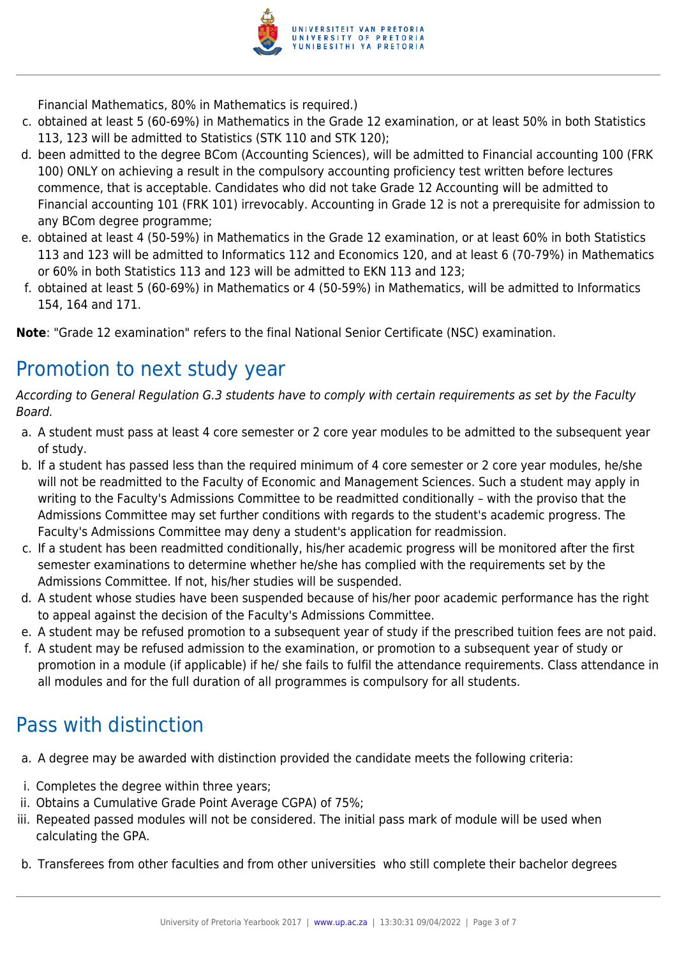

Financial Mathematics, 80% in Mathematics is required.)

- c. obtained at least 5 (60-69%) in Mathematics in the Grade 12 examination, or at least 50% in both Statistics 113, 123 will be admitted to Statistics (STK 110 and STK 120);
- d. been admitted to the degree BCom (Accounting Sciences), will be admitted to Financial accounting 100 (FRK 100) ONLY on achieving a result in the compulsory accounting proficiency test written before lectures commence, that is acceptable. Candidates who did not take Grade 12 Accounting will be admitted to Financial accounting 101 (FRK 101) irrevocably. Accounting in Grade 12 is not a prerequisite for admission to any BCom degree programme;
- e. obtained at least 4 (50-59%) in Mathematics in the Grade 12 examination, or at least 60% in both Statistics 113 and 123 will be admitted to Informatics 112 and Economics 120, and at least 6 (70-79%) in Mathematics or 60% in both Statistics 113 and 123 will be admitted to EKN 113 and 123;
- f. obtained at least 5 (60-69%) in Mathematics or 4 (50-59%) in Mathematics, will be admitted to Informatics 154, 164 and 171.

**Note**: "Grade 12 examination" refers to the final National Senior Certificate (NSC) examination.

# Promotion to next study year

According to General Regulation G.3 students have to comply with certain requirements as set by the Faculty Board.

- a. A student must pass at least 4 core semester or 2 core year modules to be admitted to the subsequent year of study.
- b. If a student has passed less than the required minimum of 4 core semester or 2 core year modules, he/she will not be readmitted to the Faculty of Economic and Management Sciences. Such a student may apply in writing to the Faculty's Admissions Committee to be readmitted conditionally – with the proviso that the Admissions Committee may set further conditions with regards to the student's academic progress. The Faculty's Admissions Committee may deny a student's application for readmission.
- c. If a student has been readmitted conditionally, his/her academic progress will be monitored after the first semester examinations to determine whether he/she has complied with the requirements set by the Admissions Committee. If not, his/her studies will be suspended.
- d. A student whose studies have been suspended because of his/her poor academic performance has the right to appeal against the decision of the Faculty's Admissions Committee.
- e. A student may be refused promotion to a subsequent year of study if the prescribed tuition fees are not paid.
- f. A student may be refused admission to the examination, or promotion to a subsequent year of study or promotion in a module (if applicable) if he/ she fails to fulfil the attendance requirements. Class attendance in all modules and for the full duration of all programmes is compulsory for all students.

## Pass with distinction

- a. A degree may be awarded with distinction provided the candidate meets the following criteria:
- i. Completes the degree within three years;
- ii. Obtains a Cumulative Grade Point Average CGPA) of 75%;
- iii. Repeated passed modules will not be considered. The initial pass mark of module will be used when calculating the GPA.
- b. Transferees from other faculties and from other universities who still complete their bachelor degrees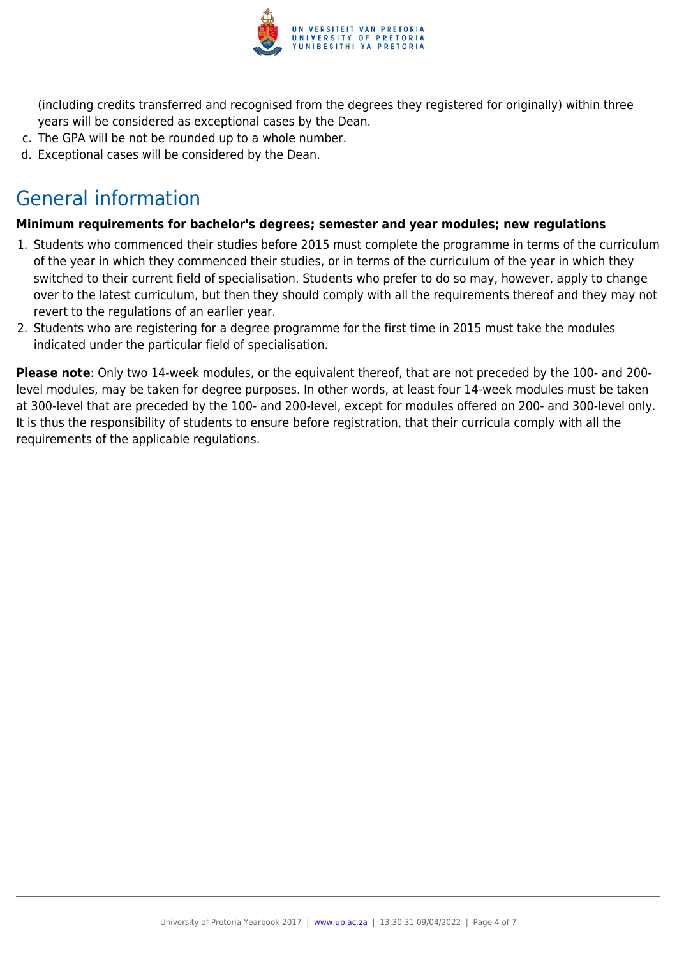

(including credits transferred and recognised from the degrees they registered for originally) within three years will be considered as exceptional cases by the Dean.

- c. The GPA will be not be rounded up to a whole number.
- d. Exceptional cases will be considered by the Dean.

# General information

#### **Minimum requirements for bachelor's degrees; semester and year modules; new regulations**

- 1. Students who commenced their studies before 2015 must complete the programme in terms of the curriculum of the year in which they commenced their studies, or in terms of the curriculum of the year in which they switched to their current field of specialisation. Students who prefer to do so may, however, apply to change over to the latest curriculum, but then they should comply with all the requirements thereof and they may not revert to the regulations of an earlier year.
- 2. Students who are registering for a degree programme for the first time in 2015 must take the modules indicated under the particular field of specialisation.

**Please note**: Only two 14-week modules, or the equivalent thereof, that are not preceded by the 100- and 200 level modules, may be taken for degree purposes. In other words, at least four 14-week modules must be taken at 300-level that are preceded by the 100- and 200-level, except for modules offered on 200- and 300-level only. It is thus the responsibility of students to ensure before registration, that their curricula comply with all the requirements of the applicable regulations.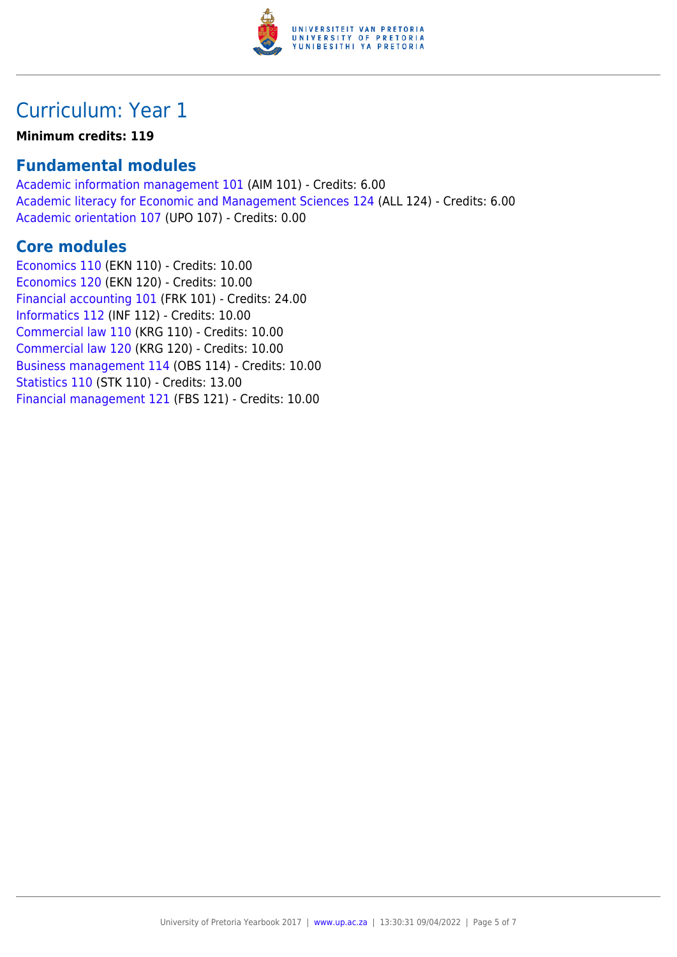

## Curriculum: Year 1

#### **Minimum credits: 119**

#### **Fundamental modules**

[Academic information management 101](https://www.up.ac.za/yearbooks/2017/modules/view/AIM 101) (AIM 101) - Credits: 6.00 [Academic literacy for Economic and Management Sciences 124](https://www.up.ac.za/yearbooks/2017/modules/view/ALL 124) (ALL 124) - Credits: 6.00 [Academic orientation 107](https://www.up.ac.za/yearbooks/2017/modules/view/UPO 107) (UPO 107) - Credits: 0.00

#### **Core modules**

[Economics 110](https://www.up.ac.za/yearbooks/2017/modules/view/EKN 110) (EKN 110) - Credits: 10.00 [Economics 120](https://www.up.ac.za/yearbooks/2017/modules/view/EKN 120) (EKN 120) - Credits: 10.00 [Financial accounting 101](https://www.up.ac.za/yearbooks/2017/modules/view/FRK 101) (FRK 101) - Credits: 24.00 [Informatics 112](https://www.up.ac.za/yearbooks/2017/modules/view/INF 112) (INF 112) - Credits: 10.00 [Commercial law 110](https://www.up.ac.za/yearbooks/2017/modules/view/KRG 110) (KRG 110) - Credits: 10.00 [Commercial law 120](https://www.up.ac.za/yearbooks/2017/modules/view/KRG 120) (KRG 120) - Credits: 10.00 [Business management 114](https://www.up.ac.za/yearbooks/2017/modules/view/OBS 114) (OBS 114) - Credits: 10.00 [Statistics 110](https://www.up.ac.za/yearbooks/2017/modules/view/STK 110) (STK 110) - Credits: 13.00 [Financial management 121](https://www.up.ac.za/yearbooks/2017/modules/view/FBS 121) (FBS 121) - Credits: 10.00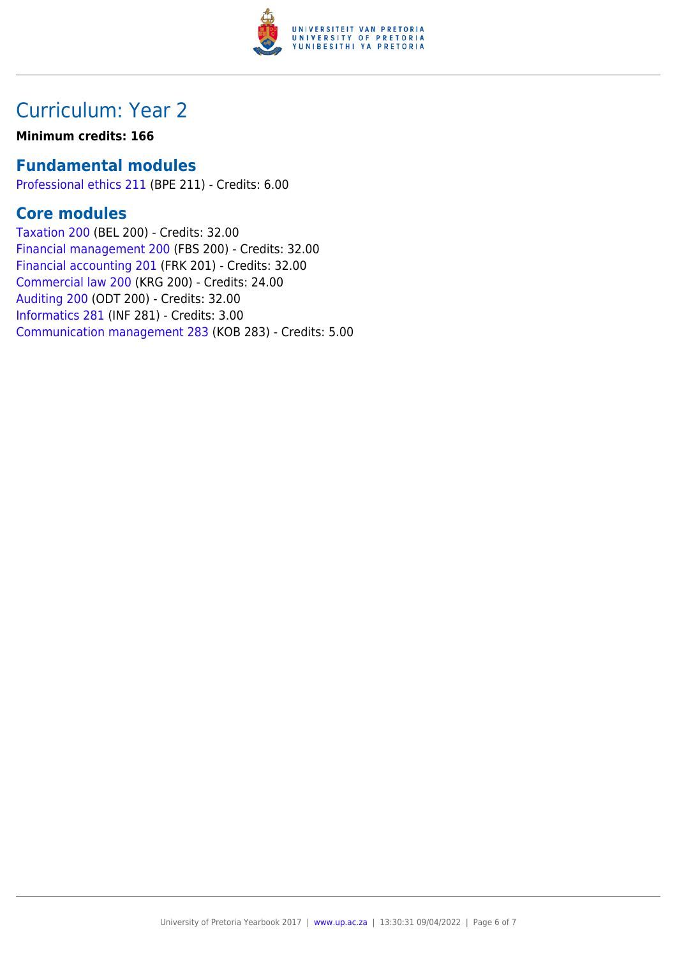

### Curriculum: Year 2

#### **Minimum credits: 166**

#### **Fundamental modules**

[Professional ethics 211](https://www.up.ac.za/yearbooks/2017/modules/view/BPE 211) (BPE 211) - Credits: 6.00

### **Core modules**

[Taxation 200](https://www.up.ac.za/yearbooks/2017/modules/view/BEL 200) (BEL 200) - Credits: 32.00 [Financial management 200](https://www.up.ac.za/yearbooks/2017/modules/view/FBS 200) (FBS 200) - Credits: 32.00 [Financial accounting 201](https://www.up.ac.za/yearbooks/2017/modules/view/FRK 201) (FRK 201) - Credits: 32.00 [Commercial law 200](https://www.up.ac.za/yearbooks/2017/modules/view/KRG 200) (KRG 200) - Credits: 24.00 [Auditing 200](https://www.up.ac.za/yearbooks/2017/modules/view/ODT 200) (ODT 200) - Credits: 32.00 [Informatics 281](https://www.up.ac.za/yearbooks/2017/modules/view/INF 281) (INF 281) - Credits: 3.00 [Communication management 283](https://www.up.ac.za/yearbooks/2017/modules/view/KOB 283) (KOB 283) - Credits: 5.00